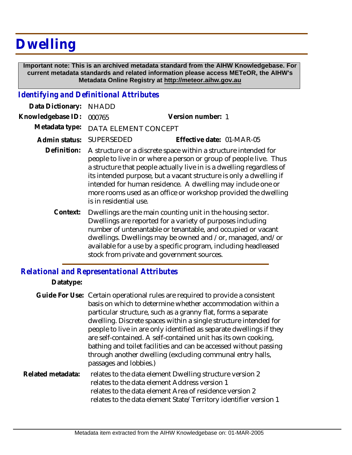# **Dwelling**

 **Important note: This is an archived metadata standard from the AIHW Knowledgebase. For current metadata standards and related information please access METeOR, the AIHW's Metadata Online Registry at http://meteor.aihw.gov.au**

### *Identifying and Definitional Attributes*

| Data Dictionary:  | <b>NHADD</b>                                                                                                                                                                                                                                                                                                                                                                                                                                  |                                                                                                                                                                                                                                                         |
|-------------------|-----------------------------------------------------------------------------------------------------------------------------------------------------------------------------------------------------------------------------------------------------------------------------------------------------------------------------------------------------------------------------------------------------------------------------------------------|---------------------------------------------------------------------------------------------------------------------------------------------------------------------------------------------------------------------------------------------------------|
| Knowledgebase ID: | 000765                                                                                                                                                                                                                                                                                                                                                                                                                                        | Version number: 1                                                                                                                                                                                                                                       |
| Metadata type:    | DATA ELEMENT CONCEPT                                                                                                                                                                                                                                                                                                                                                                                                                          |                                                                                                                                                                                                                                                         |
| Admin status:     | <b>SUPERSEDED</b>                                                                                                                                                                                                                                                                                                                                                                                                                             | Effective date: 01-MAR-05                                                                                                                                                                                                                               |
| Definition:       | A structure or a discrete space within a structure intended for<br>people to live in or where a person or group of people live. Thus<br>a structure that people actually live in is a dwelling regardless of<br>its intended purpose, but a vacant structure is only a dwelling if<br>intended for human residence. A dwelling may include one or<br>more rooms used as an office or workshop provided the dwelling<br>is in residential use. |                                                                                                                                                                                                                                                         |
| Context:          |                                                                                                                                                                                                                                                                                                                                                                                                                                               | Dwellings are the main counting unit in the housing sector.<br>Dwellings are reported for a variety of purposes including<br>number of untenantable or tenantable, and occupied or vacant<br>dwellings. Dwellings may be owned and /or, managed, and/or |

stock from private and government sources.

available for a use by a specific program, including headleased

#### *Relational and Representational Attributes*

#### **Datatype:**

|                   | Guide For Use: Certain operational rules are required to provide a consistent<br>basis on which to determine whether accommodation within a<br>particular structure, such as a granny flat, forms a separate<br>dwelling. Discrete spaces within a single structure intended for<br>people to live in are only identified as separate dwellings if they<br>are self-contained. A self-contained unit has its own cooking,<br>bathing and toilet facilities and can be accessed without passing<br>through another dwelling (excluding communal entry halls,<br>passages and lobbies.) |
|-------------------|---------------------------------------------------------------------------------------------------------------------------------------------------------------------------------------------------------------------------------------------------------------------------------------------------------------------------------------------------------------------------------------------------------------------------------------------------------------------------------------------------------------------------------------------------------------------------------------|
| Related metadata: | relates to the data element Dwelling structure version 2<br>relates to the data element Address version 1<br>relates to the data element Area of residence version 2<br>relates to the data element State/Territory identifier version 1                                                                                                                                                                                                                                                                                                                                              |